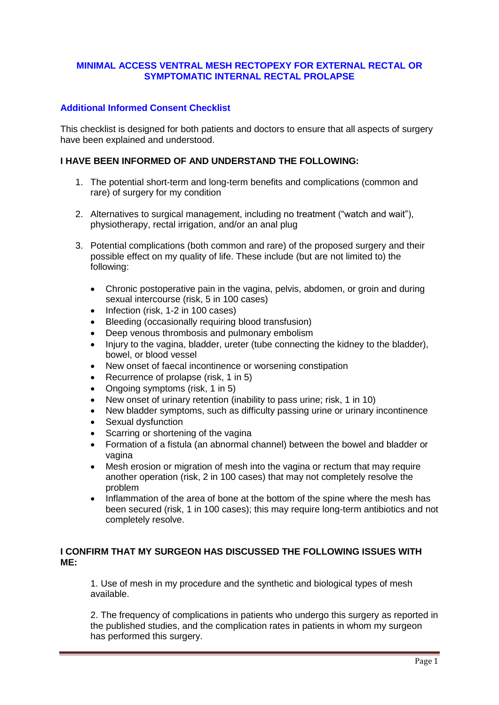## **MINIMAL ACCESS VENTRAL MESH RECTOPEXY FOR EXTERNAL RECTAL OR SYMPTOMATIC INTERNAL RECTAL PROLAPSE**

## **Additional Informed Consent Checklist**

This checklist is designed for both patients and doctors to ensure that all aspects of surgery have been explained and understood.

## **I HAVE BEEN INFORMED OF AND UNDERSTAND THE FOLLOWING:**

- 1. The potential short-term and long-term benefits and complications (common and rare) of surgery for my condition
- 2. Alternatives to surgical management, including no treatment ("watch and wait"), physiotherapy, rectal irrigation, and/or an anal plug
- 3. Potential complications (both common and rare) of the proposed surgery and their possible effect on my quality of life. These include (but are not limited to) the following:
	- Chronic postoperative pain in the vagina, pelvis, abdomen, or groin and during sexual intercourse (risk, 5 in 100 cases)
	- Infection (risk, 1-2 in 100 cases)
	- Bleeding (occasionally requiring blood transfusion)
	- Deep venous thrombosis and pulmonary embolism
	- Injury to the vagina, bladder, ureter (tube connecting the kidney to the bladder). bowel, or blood vessel
	- New onset of faecal incontinence or worsening constipation
	- Recurrence of prolapse (risk, 1 in 5)
	- Ongoing symptoms (risk, 1 in 5)
	- New onset of urinary retention (inability to pass urine; risk, 1 in 10)
	- New bladder symptoms, such as difficulty passing urine or urinary incontinence
	- Sexual dysfunction
	- Scarring or shortening of the vagina
	- Formation of a fistula (an abnormal channel) between the bowel and bladder or vagina
	- Mesh erosion or migration of mesh into the vagina or rectum that may require another operation (risk, 2 in 100 cases) that may not completely resolve the problem
	- Inflammation of the area of bone at the bottom of the spine where the mesh has been secured (risk, 1 in 100 cases); this may require long-term antibiotics and not completely resolve.

## **I CONFIRM THAT MY SURGEON HAS DISCUSSED THE FOLLOWING ISSUES WITH ME:**

1. Use of mesh in my procedure and the synthetic and biological types of mesh available.

2. The frequency of complications in patients who undergo this surgery as reported in the published studies, and the complication rates in patients in whom my surgeon has performed this surgery.